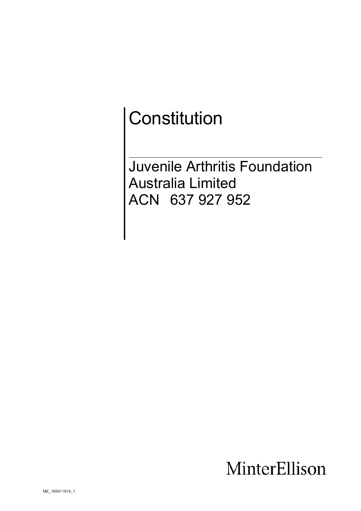# **Constitution**

Juvenile Arthritis Foundation Australia Limited ACN 637 927 952

## MinterEllison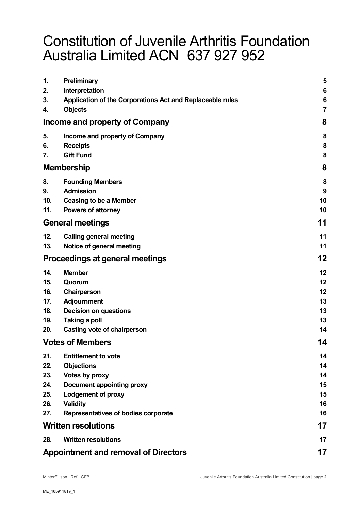## Constitution of Juvenile Arthritis Foundation Australia Limited ACN 637 927 952

| 1.                                          | Preliminary                                               | 5  |
|---------------------------------------------|-----------------------------------------------------------|----|
| 2.                                          | Interpretation                                            | 6  |
| 3.                                          | Application of the Corporations Act and Replaceable rules | 6  |
| 4.                                          | <b>Objects</b>                                            | 7  |
| Income and property of Company              | 8                                                         |    |
| 5.                                          | Income and property of Company                            | 8  |
| 6.                                          | <b>Receipts</b>                                           | 8  |
| 7.                                          | <b>Gift Fund</b>                                          | 8  |
|                                             | <b>Membership</b>                                         | 8  |
| 8.                                          | <b>Founding Members</b>                                   | 8  |
| 9.                                          | <b>Admission</b>                                          | 9  |
| 10.                                         | <b>Ceasing to be a Member</b>                             | 10 |
| 11.                                         | <b>Powers of attorney</b>                                 | 10 |
| <b>General meetings</b>                     |                                                           | 11 |
| 12.                                         | <b>Calling general meeting</b>                            | 11 |
| 13.                                         | Notice of general meeting                                 | 11 |
| Proceedings at general meetings             |                                                           | 12 |
| 14.                                         | <b>Member</b>                                             | 12 |
| 15.                                         | Quorum                                                    | 12 |
| 16.                                         | Chairperson                                               | 12 |
| 17.                                         | <b>Adjournment</b>                                        | 13 |
| 18.                                         | <b>Decision on questions</b>                              | 13 |
| 19.                                         | Taking a poll                                             | 13 |
| 20.                                         | Casting vote of chairperson                               | 14 |
|                                             | <b>Votes of Members</b>                                   | 14 |
| 21.                                         | <b>Entitlement to vote</b>                                | 14 |
| 22.                                         | <b>Objections</b>                                         | 14 |
| 23.                                         | Votes by proxy                                            | 14 |
| 24.                                         | <b>Document appointing proxy</b>                          | 15 |
| 25.                                         | <b>Lodgement of proxy</b>                                 | 15 |
| 26.                                         | <b>Validity</b>                                           | 16 |
| 27.                                         | Representatives of bodies corporate                       | 16 |
| <b>Written resolutions</b>                  | 17                                                        |    |
| 28.                                         | <b>Written resolutions</b>                                | 17 |
| <b>Appointment and removal of Directors</b> |                                                           | 17 |
|                                             |                                                           |    |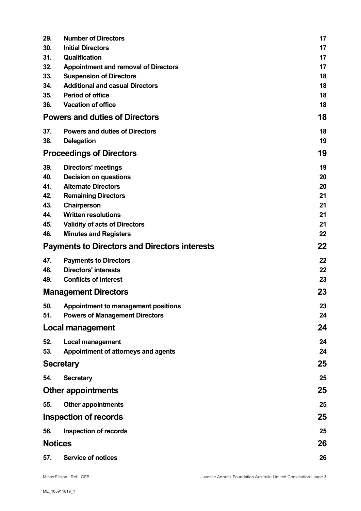| 29.                                                  | <b>Number of Directors</b>                           | 17       |
|------------------------------------------------------|------------------------------------------------------|----------|
| 30.                                                  | <b>Initial Directors</b>                             | 17       |
| 31.                                                  | <b>Qualification</b>                                 | 17       |
| 32.                                                  | <b>Appointment and removal of Directors</b>          | 17       |
| 33.                                                  | <b>Suspension of Directors</b>                       | 18       |
| 34.                                                  | <b>Additional and casual Directors</b>               | 18       |
| 35.<br>36.                                           | <b>Period of office</b><br><b>Vacation of office</b> | 18       |
| <b>Powers and duties of Directors</b>                | 18<br>18                                             |          |
| 37.                                                  | <b>Powers and duties of Directors</b>                | 18       |
| 38.                                                  | <b>Delegation</b>                                    | 19       |
|                                                      | <b>Proceedings of Directors</b>                      | 19       |
| 39.                                                  | <b>Directors' meetings</b>                           | 19       |
| 40.                                                  | <b>Decision on questions</b>                         | 20       |
| 41.                                                  | <b>Alternate Directors</b>                           | 20       |
| 42.                                                  | <b>Remaining Directors</b>                           | 21       |
| 43.<br>44.                                           | Chairperson<br><b>Written resolutions</b>            | 21<br>21 |
| 45.                                                  | <b>Validity of acts of Directors</b>                 | 21       |
| 46.                                                  | <b>Minutes and Registers</b>                         | 22       |
| <b>Payments to Directors and Directors interests</b> | 22                                                   |          |
| 47.                                                  | <b>Payments to Directors</b>                         | 22       |
| 48.                                                  | <b>Directors' interests</b>                          | 22       |
| 49.                                                  | <b>Conflicts of interest</b>                         | 23       |
| <b>Management Directors</b>                          |                                                      | 23       |
| 50.                                                  | Appointment to management positions                  | 23       |
| 51.                                                  | <b>Powers of Management Directors</b>                | 24       |
| Local management                                     |                                                      | 24       |
| 52.                                                  | <b>Local management</b>                              | 24       |
| 53.                                                  | Appointment of attorneys and agents                  | 24       |
| <b>Secretary</b>                                     |                                                      | 25       |
| 54.                                                  | <b>Secretary</b>                                     | 25       |
| <b>Other appointments</b>                            |                                                      | 25       |
| 55.                                                  | <b>Other appointments</b>                            | 25       |
| <b>Inspection of records</b>                         |                                                      | 25       |
| 56.                                                  | <b>Inspection of records</b>                         | 25       |
| <b>Notices</b>                                       | 26                                                   |          |
| 57.                                                  | <b>Service of notices</b>                            | 26       |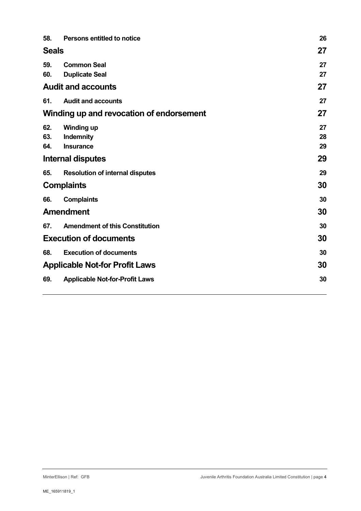| 58.                                      | <b>Persons entitled to notice</b>      | 26 |
|------------------------------------------|----------------------------------------|----|
| <b>Seals</b>                             | 27                                     |    |
| 59.                                      | <b>Common Seal</b>                     | 27 |
| 60.                                      | <b>Duplicate Seal</b>                  | 27 |
| <b>Audit and accounts</b>                | 27                                     |    |
| 61.                                      | <b>Audit and accounts</b>              | 27 |
| Winding up and revocation of endorsement | 27                                     |    |
| 62.                                      | <b>Winding up</b>                      | 27 |
| 63.                                      | Indemnity                              | 28 |
| 64.                                      | <b>Insurance</b>                       | 29 |
| <b>Internal disputes</b>                 | 29                                     |    |
| 65.                                      | <b>Resolution of internal disputes</b> | 29 |
| <b>Complaints</b>                        |                                        | 30 |
| 66.                                      | <b>Complaints</b>                      | 30 |
| <b>Amendment</b>                         | 30                                     |    |
| 67.                                      | <b>Amendment of this Constitution</b>  | 30 |
| <b>Execution of documents</b>            |                                        | 30 |
| 68.                                      | <b>Execution of documents</b>          | 30 |
| <b>Applicable Not-for Profit Laws</b>    | 30                                     |    |
| 69.                                      | <b>Applicable Not-for-Profit Laws</b>  | 30 |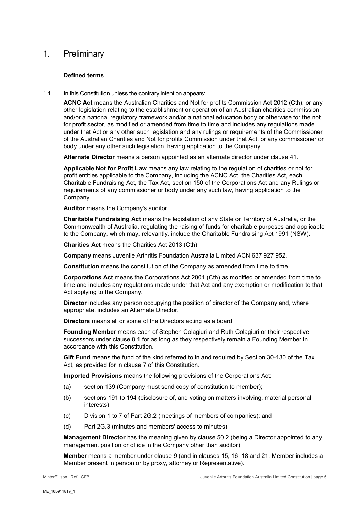## 1. Preliminary

#### **Defined terms**

1.1 In this Constitution unless the contrary intention appears:

**ACNC Act** means the Australian Charities and Not for profits Commission Act 2012 (Cth), or any other legislation relating to the establishment or operation of an Australian charities commission and/or a national regulatory framework and/or a national education body or otherwise for the not for profit sector, as modified or amended from time to time and includes any regulations made under that Act or any other such legislation and any rulings or requirements of the Commissioner of the Australian Charities and Not for profits Commission under that Act, or any commissioner or body under any other such legislation, having application to the Company.

**Alternate Director** means a person appointed as an alternate director under clause [41.](#page-19-0)

**Applicable Not for Profit Law** means any law relating to the regulation of charities or not for profit entities applicable to the Company, including the ACNC Act, the Charities Act, each Charitable Fundraising Act, the Tax Act, section 150 of the Corporations Act and any Rulings or requirements of any commissioner or body under any such law, having application to the Company.

**Auditor** means the Company's auditor.

**Charitable Fundraising Act** means the legislation of any State or Territory of Australia, or the Commonwealth of Australia, regulating the raising of funds for charitable purposes and applicable to the Company, which may, relevantly, include the Charitable Fundraising Act 1991 (NSW).

**Charities Act** means the Charities Act 2013 (Cth).

**Company** means Juvenile Arthritis Foundation Australia Limited ACN 637 927 952.

**Constitution** means the constitution of the Company as amended from time to time.

**Corporations Act** means the Corporations Act 2001 (Cth) as modified or amended from time to time and includes any regulations made under that Act and any exemption or modification to that Act applying to the Company.

**Director** includes any person occupying the position of director of the Company and, where appropriate, includes an Alternate Director.

**Directors** means all or some of the Directors acting as a board.

**Founding Member** means each of Stephen Colagiuri and Ruth Colagiuri or their respective successors under clause 8.1 for as long as they respectively remain a Founding Member in accordance with this Constitution.

**Gift Fund** means the fund of the kind referred to in and required by Section 30-130 of the Tax Act, as provided for in clause 7 of this Constitution.

**Imported Provisions** means the following provisions of the Corporations Act:

- (a) section 139 (Company must send copy of constitution to member);
- (b) sections 191 to 194 (disclosure of, and voting on matters involving, material personal interests);
- (c) Division 1 to 7 of Part 2G.2 (meetings of members of companies); and
- (d) Part 2G.3 (minutes and members' access to minutes)

**Management Director** has the meaning given by clause [50.2](#page-22-0) (being a Director appointed to any management position or office in the Company other than auditor).

**Member** means a member under clause [9](#page-8-0) (and in clauses [15,](#page-11-0) [16,](#page-11-1) [18](#page-12-0) and [21,](#page-13-0) Member includes a Member present in person or by proxy, attorney or Representative).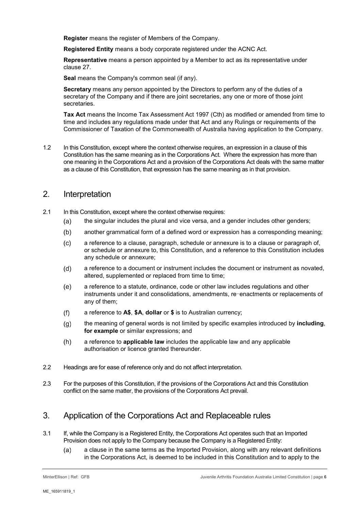**Register** means the register of Members of the Company.

**Registered Entity** means a body corporate registered under the ACNC Act.

**Representative** means a person appointed by a Member to act as its representative under clause [27.](#page-15-0)

**Seal** means the Company's common seal (if any).

**Secretary** means any person appointed by the Directors to perform any of the duties of a secretary of the Company and if there are joint secretaries, any one or more of those joint secretaries.

**Tax Act** means the Income Tax Assessment Act 1997 (Cth) as modified or amended from time to time and includes any regulations made under that Act and any Rulings or requirements of the Commissioner of Taxation of the Commonwealth of Australia having application to the Company.

1.2 In this Constitution, except where the context otherwise requires, an expression in a clause of this Constitution has the same meaning as in the Corporations Act. Where the expression has more than one meaning in the Corporations Act and a provision of the Corporations Act deals with the same matter as a clause of this Constitution, that expression has the same meaning as in that provision.

#### 2. Interpretation

- 2.1 In this Constitution, except where the context otherwise requires:
	- the singular includes the plural and vice versa, and a gender includes other genders;  $(a)$
	- another grammatical form of a defined word or expression has a corresponding meaning;  $(b)$
	- $(c)$ a reference to a clause, paragraph, schedule or annexure is to a clause or paragraph of, or schedule or annexure to, this Constitution, and a reference to this Constitution includes any schedule or annexure;
	- $(d)$ a reference to a document or instrument includes the document or instrument as novated, altered, supplemented or replaced from time to time;
	- $(e)$ a reference to a statute, ordinance, code or other law includes regulations and other instruments under it and consolidations, amendments, re-enactments or replacements of any of them;
	- $(f)$ a reference to **A\$**, **\$A**, **dollar** or **\$** is to Australian currency;
	- $(q)$ the meaning of general words is not limited by specific examples introduced by **including**, **for example** or similar expressions; and
	- $(h)$ a reference to **applicable law** includes the applicable law and any applicable authorisation or licence granted thereunder.
- 2.2 Headings are for ease of reference only and do not affect interpretation.
- 2.3 For the purposes of this Constitution, if the provisions of the Corporations Act and this Constitution conflict on the same matter, the provisions of the Corporations Act prevail.

## 3. Application of the Corporations Act and Replaceable rules

- 3.1 If, while the Company is a Registered Entity, the Corporations Act operates such that an Imported Provision does not apply to the Company because the Company is a Registered Entity:
	- a clause in the same terms as the Imported Provision, along with any relevant definitions  $(a)$ in the Corporations Act, is deemed to be included in this Constitution and to apply to the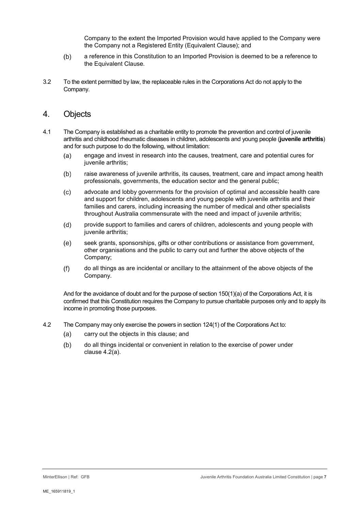Company to the extent the Imported Provision would have applied to the Company were the Company not a Registered Entity (Equivalent Clause); and

- $(b)$ a reference in this Constitution to an Imported Provision is deemed to be a reference to the Equivalent Clause.
- 3.2 To the extent permitted by law, the replaceable rules in the Corporations Act do not apply to the Company.

#### 4. Objects

- 4.1 The Company is established as a charitable entity to promote the prevention and control of juvenile arthritis and childhood rheumatic diseases in children, adolescents and young people (**juvenile arthritis**) and for such purpose to do the following, without limitation:
	- $(a)$ engage and invest in research into the causes, treatment, care and potential cures for juvenile arthritis;
	- $(b)$ raise awareness of juvenile arthritis, its causes, treatment, care and impact among health professionals, governments, the education sector and the general public;
	- $(c)$ advocate and lobby governments for the provision of optimal and accessible health care and support for children, adolescents and young people with juvenile arthritis and their families and carers, including increasing the number of medical and other specialists throughout Australia commensurate with the need and impact of juvenile arthritis;
	- $(d)$ provide support to families and carers of children, adolescents and young people with juvenile arthritis;
	- seek grants, sponsorships, gifts or other contributions or assistance from government,  $(e)$ other organisations and the public to carry out and further the above objects of the Company;
	- $(f)$ do all things as are incidental or ancillary to the attainment of the above objects of the Company.

And for the avoidance of doubt and for the purpose of section 150(1)(a) of the Corporations Act, it is confirmed that this Constitution requires the Company to pursue charitable purposes only and to apply its income in promoting those purposes.

- 4.2 The Company may only exercise the powers in section 124(1) of the Corporations Act to:
	- $(a)$ carry out the objects in this clause; and
	- $(b)$ do all things incidental or convenient in relation to the exercise of power under clause 4.2(a).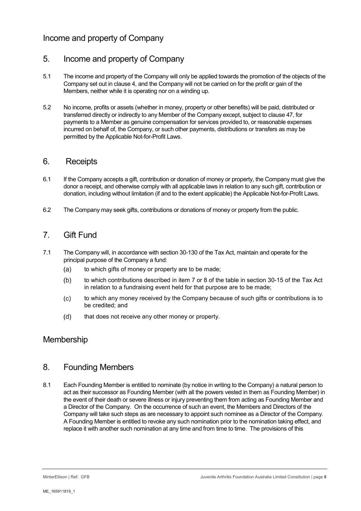## Income and property of Company

## 5. Income and property of Company

- 5.1 The income and property of the Company will only be applied towards the promotion of the objects of the Company set out in clause 4, and the Company will not be carried on for the profit or gain of the Members, neither while it is operating nor on a winding up.
- 5.2 No income, profits or assets (whether in money, property or other benefits) will be paid, distributed or transferred directly or indirectly to any Member of the Company except, subject to claus[e 47,](#page-21-0) for payments to a Member as genuine compensation for services provided to, or reasonable expenses incurred on behalf of, the Company, or such other payments, distributions or transfers as may be permitted by the Applicable Not-for-Profit Laws.

## 6. Receipts

- 6.1 If the Company accepts a gift, contribution or donation of money or property, the Company must give the donor a receipt, and otherwise comply with all applicable laws in relation to any such gift, contribution or donation, including without limitation (if and to the extent applicable) the Applicable Not-for-Profit Laws.
- 6.2 The Company may seek gifts, contributions or donations of money or property from the public.

## 7. Gift Fund

- 7.1 The Company will, in accordance with section 30-130 of the Tax Act, maintain and operate for the principal purpose of the Company a fund:
	- $(a)$ to which gifts of money or property are to be made;
	- $(b)$ to which contributions described in item 7 or 8 of the table in section 30-15 of the Tax Act in relation to a fundraising event held for that purpose are to be made;
	- $(c)$ to which any money received by the Company because of such gifts or contributions is to be credited; and
	- $(d)$ that does not receive any other money or property.

## Membership

## 8. Founding Members

8.1 Each Founding Member is entitled to nominate (by notice in writing to the Company) a natural person to act as their successor as Founding Member (with all the powers vested in them as Founding Member) in the event of their death or severe illness or injury preventing them from acting as Founding Member and a Director of the Company. On the occurrence of such an event, the Members and Directors of the Company will take such steps as are necessary to appoint such nominee as a Director of the Company. A Founding Member is entitled to revoke any such nomination prior to the nomination taking effect, and replace it with another such nomination at any time and from time to time. The provisions of this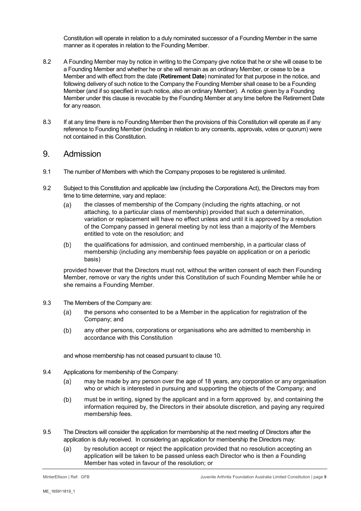Constitution will operate in relation to a duly nominated successor of a Founding Member in the same manner as it operates in relation to the Founding Member.

- 8.2 A Founding Member may by notice in writing to the Company give notice that he or she will cease to be a Founding Member and whether he or she will remain as an ordinary Member, or cease to be a Member and with effect from the date (**Retirement Date**) nominated for that purpose in the notice, and following delivery of such notice to the Company the Founding Member shall cease to be a Founding Member (and if so specified in such notice, also an ordinary Member). A notice given by a Founding Member under this clause is revocable by the Founding Member at any time before the Retirement Date for any reason.
- 8.3 If at any time there is no Founding Member then the provisions of this Constitution will operate as if any reference to Founding Member (including in relation to any consents, approvals, votes or quorum) were not contained in this Constitution.

#### <span id="page-8-0"></span>9. Admission

- 9.1 The number of Members with which the Company proposes to be registered is unlimited.
- 9.2 Subject to this Constitution and applicable law (including the Corporations Act), the Directors may from time to time determine, vary and replace:
	- the classes of membership of the Company (including the rights attaching, or not  $(a)$ attaching, to a particular class of membership) provided that such a determination, variation or replacement will have no effect unless and until it is approved by a resolution of the Company passed in general meeting by not less than a majority of the Members entitled to vote on the resolution; and
	- $(b)$ the qualifications for admission, and continued membership, in a particular class of membership (including any membership fees payable on application or on a periodic basis)

provided however that the Directors must not, without the written consent of each then Founding Member, remove or vary the rights under this Constitution of such Founding Member while he or she remains a Founding Member.

- 9.3 The Members of the Company are:
	- the persons who consented to be a Member in the application for registration of the  $(a)$ Company; and
	- any other persons, corporations or organisations who are admitted to membership in  $(b)$ accordance with this Constitution

and whose membership has not ceased pursuant to clause [10.](#page-9-0)

- 9.4 Applications for membership of the Company:
	- may be made by any person over the age of 18 years, any corporation or any organisation  $(a)$ who or which is interested in pursuing and supporting the objects of the Company; and
	- must be in writing, signed by the applicant and in a form approved by, and containing the  $(b)$ information required by, the Directors in their absolute discretion, and paying any required membership fees.
- <span id="page-8-1"></span>9.5 The Directors will consider the application for membership at the next meeting of Directors after the application is duly received. In considering an application for membership the Directors may:
	- by resolution accept or reject the application provided that no resolution accepting an  $(a)$ application will be taken to be passed unless each Director who is then a Founding Member has voted in favour of the resolution; or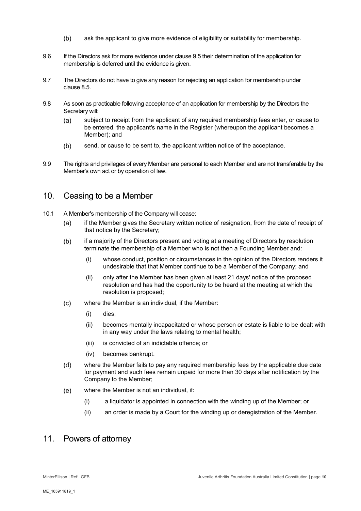- $(b)$ ask the applicant to give more evidence of eligibility or suitability for membership.
- 9.6 If the Directors ask for more evidence under clause [9.5](#page-8-1) their determination of the application for membership is deferred until the evidence is given.
- 9.7 The Directors do not have to give any reason for rejecting an application for membership under clause 8.5.
- 9.8 As soon as practicable following acceptance of an application for membership by the Directors the Secretary will:
	- subject to receipt from the applicant of any required membership fees enter, or cause to  $(a)$ be entered, the applicant's name in the Register (whereupon the applicant becomes a Member); and
	- send, or cause to be sent to, the applicant written notice of the acceptance.  $(b)$
- 9.9 The rights and privileges of every Member are personal to each Member and are not transferable by the Member's own act or by operation of law.

## <span id="page-9-0"></span>10. Ceasing to be a Member

- 10.1 A Member's membership of the Company will cease:
	- if the Member gives the Secretary written notice of resignation, from the date of receipt of  $(a)$ that notice by the Secretary;
	- if a majority of the Directors present and voting at a meeting of Directors by resolution  $(b)$ terminate the membership of a Member who is not then a Founding Member and:
		- (i) whose conduct, position or circumstances in the opinion of the Directors renders it undesirable that that Member continue to be a Member of the Company; and
		- (ii) only after the Member has been given at least 21 days' notice of the proposed resolution and has had the opportunity to be heard at the meeting at which the resolution is proposed;
	- where the Member is an individual, if the Member:  $(c)$ 
		- (i) dies;
		- (ii) becomes mentally incapacitated or whose person or estate is liable to be dealt with in any way under the laws relating to mental health;
		- (iii) is convicted of an indictable offence; or
		- (iv) becomes bankrupt.
	- $(d)$ where the Member fails to pay any required membership fees by the applicable due date for payment and such fees remain unpaid for more than 30 days after notification by the Company to the Member;
	- where the Member is not an individual, if:  $(e)$ 
		- (i) a liquidator is appointed in connection with the winding up of the Member; or
		- (ii) an order is made by a Court for the winding up or deregistration of the Member.

## 11. Powers of attorney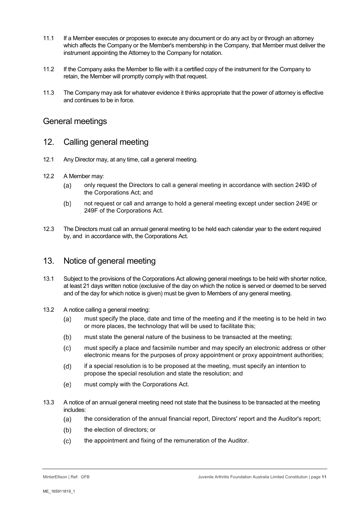- 11.1 If a Member executes or proposes to execute any document or do any act by or through an attorney which affects the Company or the Member's membership in the Company, that Member must deliver the instrument appointing the Attorney to the Company for notation.
- 11.2 If the Company asks the Member to file with it a certified copy of the instrument for the Company to retain, the Member will promptly comply with that request.
- 11.3 The Company may ask for whatever evidence it thinks appropriate that the power of attorney is effective and continues to be in force.

#### General meetings

#### 12. Calling general meeting

- 12.1 Any Director may, at any time, call a general meeting.
- <span id="page-10-0"></span>12.2 A Member may:
	- only request the Directors to call a general meeting in accordance with section 249D of  $(a)$ the Corporations Act; and
	- $(b)$ not request or call and arrange to hold a general meeting except under section 249E or 249F of the Corporations Act.
- 12.3 The Directors must call an annual general meeting to be held each calendar year to the extent required by, and in accordance with, the Corporations Act.

#### 13. Notice of general meeting

- <span id="page-10-1"></span>13.1 Subject to the provisions of the Corporations Act allowing general meetings to be held with shorter notice, at least 21 days written notice (exclusive of the day on which the notice is served or deemed to be served and of the day for which notice is given) must be given to Members of any general meeting.
- 13.2 A notice calling a general meeting:
	- must specify the place, date and time of the meeting and if the meeting is to be held in two  $(a)$ or more places, the technology that will be used to facilitate this;
	- must state the general nature of the business to be transacted at the meeting;  $(b)$
	- $(c)$ must specify a place and facsimile number and may specify an electronic address or other electronic means for the purposes of proxy appointment or proxy appointment authorities;
	- $(d)$ if a special resolution is to be proposed at the meeting, must specify an intention to propose the special resolution and state the resolution; and
	- $(e)$ must comply with the Corporations Act.
- 13.3 A notice of an annual general meeting need not state that the business to be transacted at the meeting includes:
	- the consideration of the annual financial report, Directors' report and the Auditor's report;  $(a)$
	- $(b)$ the election of directors; or
	- the appointment and fixing of the remuneration of the Auditor. $(c)$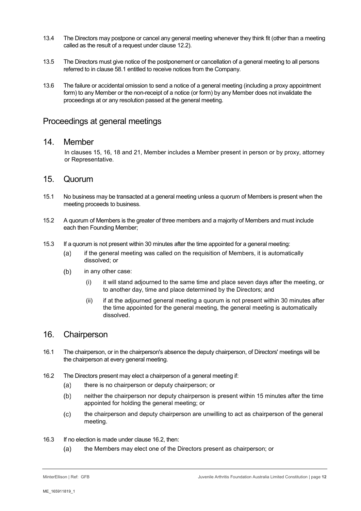- 13.4 The Directors may postpone or cancel any general meeting whenever they think fit (other than a meeting called as the result of a request under clause [12.2\)](#page-10-0).
- 13.5 The Directors must give notice of the postponement or cancellation of a general meeting to all persons referred to in clause [58.1](#page-25-0) entitled to receive notices from the Company.
- 13.6 The failure or accidental omission to send a notice of a general meeting (including a proxy appointment form) to any Member or the non-receipt of a notice (or form) by any Member does not invalidate the proceedings at or any resolution passed at the general meeting.

### Proceedings at general meetings

#### 14. Member

In clauses [15,](#page-11-0) [16,](#page-11-1) [18](#page-12-0) and [21,](#page-13-0) Member includes a Member present in person or by proxy, attorney or Representative.

#### <span id="page-11-0"></span>15. Quorum

- 15.1 No business may be transacted at a general meeting unless a quorum of Members is present when the meeting proceeds to business.
- 15.2 A quorum of Members is the greater of three members and a majority of Members and must include each then Founding Member;
- 15.3 If a quorum is not present within 30 minutes after the time appointed for a general meeting:
	- if the general meeting was called on the requisition of Members, it is automatically  $(a)$ dissolved; or
	- $(b)$ in any other case:
		- (i) it will stand adjourned to the same time and place seven days after the meeting, or to another day, time and place determined by the Directors; and
		- (ii) if at the adjourned general meeting a quorum is not present within 30 minutes after the time appointed for the general meeting, the general meeting is automatically dissolved.

#### <span id="page-11-1"></span>16. Chairperson

- 16.1 The chairperson, or in the chairperson's absence the deputy chairperson, of Directors' meetings will be the chairperson at every general meeting.
- <span id="page-11-2"></span>16.2 The Directors present may elect a chairperson of a general meeting if:
	- $(a)$ there is no chairperson or deputy chairperson; or
	- $(b)$ neither the chairperson nor deputy chairperson is present within 15 minutes after the time appointed for holding the general meeting; or
	- $(c)$ the chairperson and deputy chairperson are unwilling to act as chairperson of the general meeting.
- 16.3 If no election is made under clause [16.2,](#page-11-2) then:
	- the Members may elect one of the Directors present as chairperson; or $(a)$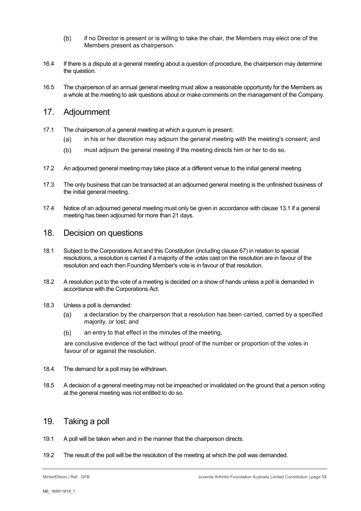- $(b)$ if no Director is present or is willing to take the chair, the Members may elect one of the Members present as chairperson.
- 16.4 If there is a dispute at a general meeting about a question of procedure, the chairperson may determine the question.
- 16.5 The chairperson of an annual general meeting must allow a reasonable opportunity for the Members as a whole at the meeting to ask questions about or make comments on the management of the Company.

#### 17. Adjournment

- 17.1 The chairperson of a general meeting at which a quorum is present:
	- in his or her discretion may adjourn the general meeting with the meeting's consent; and  $(a)$
	- $(b)$ must adjourn the general meeting if the meeting directs him or her to do so.
- 17.2 An adjourned general meeting may take place at a different venue to the initial general meeting.
- 17.3 The only business that can be transacted at an adjourned general meeting is the unfinished business of the initial general meeting.
- 17.4 Notice of an adjourned general meeting must only be given in accordance with clause [13.1](#page-10-1) if a general meeting has been adjourned for more than 21 days.

#### <span id="page-12-0"></span>18. Decision on questions

- 18.1 Subject to the Corporations Act and this Constitution (including clause [67\)](#page-29-0) in relation to special resolutions, a resolution is carried if a majority of the votes cast on the resolution are in favour of the resolution and each then Founding Member's vote is in favour of that resolution.
- 18.2 A resolution put to the vote of a meeting is decided on a show of hands unless a poll is demanded in accordance with the Corporations Act.
- 18.3 Unless a poll is demanded:
	- $(a)$ a declaration by the chairperson that a resolution has been carried, carried by a specified majority, or lost; and
	- $(b)$ an entry to that effect in the minutes of the meeting,

are conclusive evidence of the fact without proof of the number or proportion of the votes in favour of or against the resolution.

- 18.4 The demand for a poll may be withdrawn.
- 18.5 A decision of a general meeting may not be impeached or invalidated on the ground that a person voting at the general meeting was not entitled to do so.

#### 19. Taking a poll

- 19.1 A poll will be taken when and in the manner that the chairperson directs.
- 19.2 The result of the poll will be the resolution of the meeting at which the poll was demanded.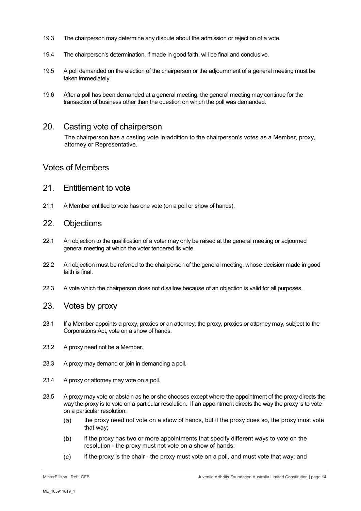- 19.3 The chairperson may determine any dispute about the admission or rejection of a vote.
- 19.4 The chairperson's determination, if made in good faith, will be final and conclusive.
- 19.5 A poll demanded on the election of the chairperson or the adjournment of a general meeting must be taken immediately.
- 19.6 After a poll has been demanded at a general meeting, the general meeting may continue for the transaction of business other than the question on which the poll was demanded.

#### 20. Casting vote of chairperson

The chairperson has a casting vote in addition to the chairperson's votes as a Member, proxy, attorney or Representative.

#### Votes of Members

- <span id="page-13-0"></span>21. Entitlement to vote
- 21.1 A Member entitled to vote has one vote (on a poll or show of hands).
- 22. Objections
- 22.1 An objection to the qualification of a voter may only be raised at the general meeting or adjourned general meeting at which the voter tendered its vote.
- 22.2 An objection must be referred to the chairperson of the general meeting, whose decision made in good faith is final.
- 22.3 A vote which the chairperson does not disallow because of an objection is valid for all purposes.
- 23. Votes by proxy
- 23.1 If a Member appoints a proxy, proxies or an attorney, the proxy, proxies or attorney may, subject to the Corporations Act, vote on a show of hands.
- 23.2 A proxy need not be a Member.
- 23.3 A proxy may demand or join in demanding a poll.
- 23.4 A proxy or attorney may vote on a poll.
- 23.5 A proxy may vote or abstain as he or she chooses except where the appointment of the proxy directs the way the proxy is to vote on a particular resolution. If an appointment directs the way the proxy is to vote on a particular resolution:
	- the proxy need not vote on a show of hands, but if the proxy does so, the proxy must vote  $(a)$ that way;
	- $(b)$ if the proxy has two or more appointments that specify different ways to vote on the resolution - the proxy must not vote on a show of hands;
	- if the proxy is the chair the proxy must vote on a poll, and must vote that way; and $(c)$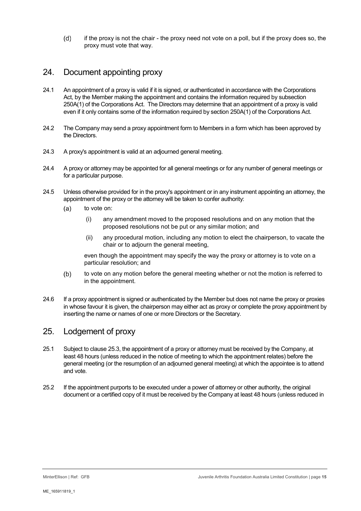$(d)$ if the proxy is not the chair - the proxy need not vote on a poll, but if the proxy does so, the proxy must vote that way.

## 24. Document appointing proxy

- 24.1 An appointment of a proxy is valid if it is signed, or authenticated in accordance with the Corporations Act, by the Member making the appointment and contains the information required by subsection 250A(1) of the Corporations Act. The Directors may determine that an appointment of a proxy is valid even if it only contains some of the information required by section 250A(1) of the Corporations Act.
- 24.2 The Company may send a proxy appointment form to Members in a form which has been approved by the Directors.
- 24.3 A proxy's appointment is valid at an adjourned general meeting.
- 24.4 A proxy or attorney may be appointed for all general meetings or for any number of general meetings or for a particular purpose.
- 24.5 Unless otherwise provided for in the proxy's appointment or in any instrument appointing an attorney, the appointment of the proxy or the attorney will be taken to confer authority:
	- $(a)$ to vote on:
		- (i) any amendment moved to the proposed resolutions and on any motion that the proposed resolutions not be put or any similar motion; and
		- (ii) any procedural motion, including any motion to elect the chairperson, to vacate the chair or to adjourn the general meeting,

even though the appointment may specify the way the proxy or attorney is to vote on a particular resolution; and

- $(b)$ to vote on any motion before the general meeting whether or not the motion is referred to in the appointment.
- 24.6 If a proxy appointment is signed or authenticated by the Member but does not name the proxy or proxies in whose favour it is given, the chairperson may either act as proxy or complete the proxy appointment by inserting the name or names of one or more Directors or the Secretary.

## 25. Lodgement of proxy

- 25.1 Subject to clause [25.3,](#page-15-1) the appointment of a proxy or attorney must be received by the Company, at least 48 hours (unless reduced in the notice of meeting to which the appointment relates) before the general meeting (or the resumption of an adjourned general meeting) at which the appointee is to attend and vote.
- 25.2 If the appointment purports to be executed under a power of attorney or other authority, the original document or a certified copy of it must be received by the Company at least 48 hours (unless reduced in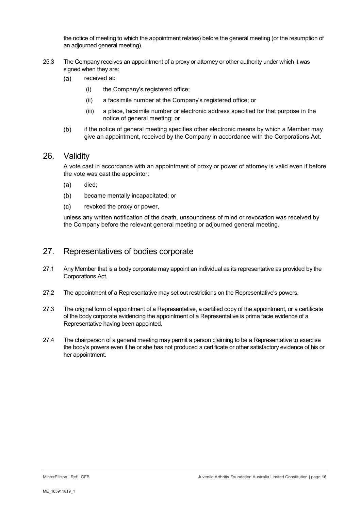the notice of meeting to which the appointment relates) before the general meeting (or the resumption of an adjourned general meeting).

- <span id="page-15-1"></span>25.3 The Company receives an appointment of a proxy or attorney or other authority under which it was signed when they are:
	- $(a)$ received at:
		- (i) the Company's registered office;
		- (ii) a facsimile number at the Company's registered office; or
		- (iii) a place, facsimile number or electronic address specified for that purpose in the notice of general meeting; or
	- $(b)$ if the notice of general meeting specifies other electronic means by which a Member may give an appointment, received by the Company in accordance with the Corporations Act.

#### 26. Validity

A vote cast in accordance with an appointment of proxy or power of attorney is valid even if before the vote was cast the appointor:

- died;  $(a)$
- $(b)$ became mentally incapacitated; or
- $(c)$ revoked the proxy or power,

unless any written notification of the death, unsoundness of mind or revocation was received by the Company before the relevant general meeting or adjourned general meeting.

#### <span id="page-15-0"></span>27. Representatives of bodies corporate

- 27.1 Any Member that is a body corporate may appoint an individual as its representative as provided by the Corporations Act.
- 27.2 The appointment of a Representative may set out restrictions on the Representative's powers.
- 27.3 The original form of appointment of a Representative, a certified copy of the appointment, or a certificate of the body corporate evidencing the appointment of a Representative is prima facie evidence of a Representative having been appointed.
- 27.4 The chairperson of a general meeting may permit a person claiming to be a Representative to exercise the body's powers even if he or she has not produced a certificate or other satisfactory evidence of his or her appointment.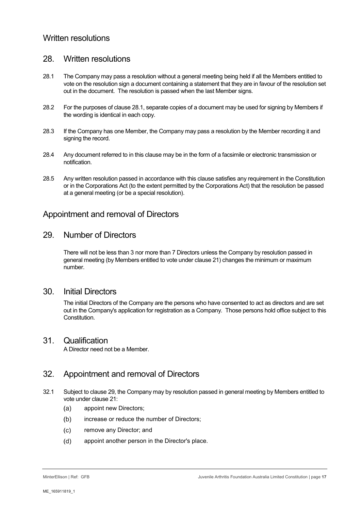## Written resolutions

## <span id="page-16-3"></span>28. Written resolutions

- <span id="page-16-0"></span>28.1 The Company may pass a resolution without a general meeting being held if all the Members entitled to vote on the resolution sign a document containing a statement that they are in favour of the resolution set out in the document. The resolution is passed when the last Member signs.
- 28.2 For the purposes of clause [28.1,](#page-16-0) separate copies of a document may be used for signing by Members if the wording is identical in each copy.
- 28.3 If the Company has one Member, the Company may pass a resolution by the Member recording it and signing the record.
- 28.4 Any document referred to in this clause may be in the form of a facsimile or electronic transmission or notification.
- 28.5 Any written resolution passed in accordance with this clause satisfies any requirement in the Constitution or in the Corporations Act (to the extent permitted by the Corporations Act) that the resolution be passed at a general meeting (or be a special resolution).

#### Appointment and removal of Directors

#### <span id="page-16-1"></span>29. Number of Directors

There will not be less than 3 nor more than 7 Directors unless the Company by resolution passed in general meeting (by Members entitled to vote under clause [21\)](#page-13-0) changes the minimum or maximum number.

#### 30. Initial Directors

The initial Directors of the Company are the persons who have consented to act as directors and are set out in the Company's application for registration as a Company. Those persons hold office subject to this Constitution.

#### 31. Qualification

A Director need not be a Member.

## 32. Appointment and removal of Directors

- <span id="page-16-2"></span>32.1 Subject to clause [29,](#page-16-1) the Company may by resolution passed in general meeting by Members entitled to vote under clause [21:](#page-13-0)
	- $(a)$ appoint new Directors;
	- $(b)$ increase or reduce the number of Directors;
	- $(c)$ remove any Director; and
	- $(d)$ appoint another person in the Director's place.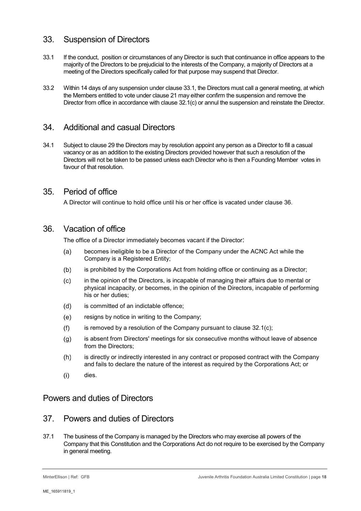## 33. Suspension of Directors

- <span id="page-17-0"></span>33.1 If the conduct, position or circumstances of any Director is such that continuance in office appears to the majority of the Directors to be prejudicial to the interests of the Company, a majority of Directors at a meeting of the Directors specifically called for that purpose may suspend that Director.
- 33.2 Within 14 days of any suspension under clause [33.1,](#page-17-0) the Directors must call a general meeting, at which the Members entitled to vote under clause [21](#page-13-0) may either confirm the suspension and remove the Director from office in accordance with clause [32.1\(c\)](#page-16-2) or annul the suspension and reinstate the Director.

## 34. Additional and casual Directors

34.1 Subject to claus[e 29](#page-16-1) the Directors may by resolution appoint any person as a Director to fill a casual vacancy or as an addition to the existing Directors provided however that such a resolution of the Directors will not be taken to be passed unless each Director who is then a Founding Member votes in favour of that resolution.

## 35. Period of office

A Director will continue to hold office until his or her office is vacated under clause [36.](#page-17-1)

## <span id="page-17-1"></span>36. Vacation of office

The office of a Director immediately becomes vacant if the Director:

- becomes ineligible to be a Director of the Company under the ACNC Act while the  $(a)$ Company is a Registered Entity;
- $(b)$ is prohibited by the Corporations Act from holding office or continuing as a Director;
- in the opinion of the Directors, is incapable of managing their affairs due to mental or  $(c)$ physical incapacity, or becomes, in the opinion of the Directors, incapable of performing his or her duties;
- is committed of an indictable offence;  $(d)$
- $(e)$ resigns by notice in writing to the Company;
- is removed by a resolution of the Company pursuant to clause [32.1\(c\);](#page-16-2)  $(f)$
- is absent from Directors' meetings for six consecutive months without leave of absence  $(g)$ from the Directors;
- $(h)$ is directly or indirectly interested in any contract or proposed contract with the Company and fails to declare the nature of the interest as required by the Corporations Act; or
- $(i)$ dies.

## Powers and duties of Directors

### 37. Powers and duties of Directors

<span id="page-17-2"></span>37.1 The business of the Company is managed by the Directors who may exercise all powers of the Company that this Constitution and the Corporations Act do not require to be exercised by the Company in general meeting.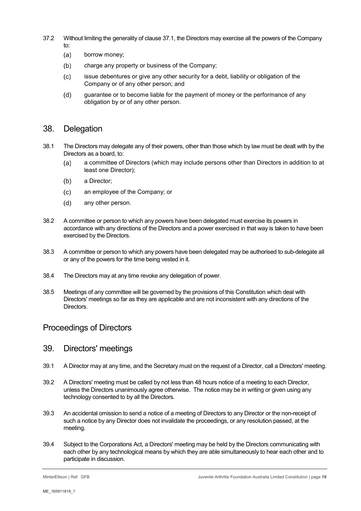- 37.2 Without limiting the generality of clause [37.1,](#page-17-2) the Directors may exercise all the powers of the Company to:
	- $(a)$ borrow money;
	- $(b)$ charge any property or business of the Company;
	- $(c)$ issue debentures or give any other security for a debt, liability or obligation of the Company or of any other person; and
	- $(d)$ guarantee or to become liable for the payment of money or the performance of any obligation by or of any other person.

#### <span id="page-18-1"></span>38. Delegation

- 38.1 The Directors may delegate any of their powers, other than those which by law must be dealt with by the Directors as a board, to:
	- a committee of Directors (which may include persons other than Directors in addition to at  $(a)$ least one Director);
	- a Director;  $(b)$
	- $(c)$ an employee of the Company; or
	- $(d)$ any other person.
- 38.2 A committee or person to which any powers have been delegated must exercise its powers in accordance with any directions of the Directors and a power exercised in that way is taken to have been exercised by the Directors.
- 38.3 A committee or person to which any powers have been delegated may be authorised to sub-delegate all or any of the powers for the time being vested in it.
- 38.4 The Directors may at any time revoke any delegation of power.
- 38.5 Meetings of any committee will be governed by the provisions of this Constitution which deal with Directors' meetings so far as they are applicable and are not inconsistent with any directions of the Directors.

## Proceedings of Directors

#### 39. Directors' meetings

- 39.1 A Director may at any time, and the Secretary must on the request of a Director, call a Directors' meeting.
- 39.2 A Directors' meeting must be called by not less than 48 hours notice of a meeting to each Director, unless the Directors unanimously agree otherwise. The notice may be in writing or given using any technology consented to by all the Directors.
- 39.3 An accidental omission to send a notice of a meeting of Directors to any Director or the non-receipt of such a notice by any Director does not invalidate the proceedings, or any resolution passed, at the meeting.
- <span id="page-18-0"></span>39.4 Subject to the Corporations Act, a Directors' meeting may be held by the Directors communicating with each other by any technological means by which they are able simultaneously to hear each other and to participate in discussion.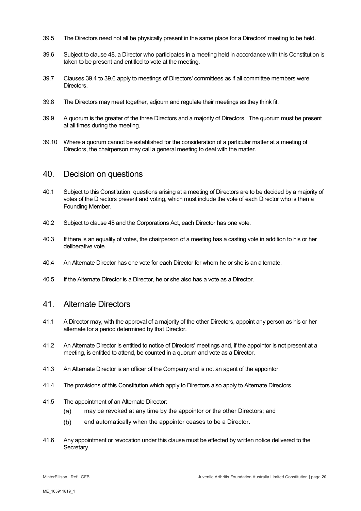- 39.5 The Directors need not all be physically present in the same place for a Directors' meeting to be held.
- <span id="page-19-1"></span>39.6 Subject to clause [48,](#page-21-1) a Director who participates in a meeting held in accordance with this Constitution is taken to be present and entitled to vote at the meeting.
- 39.7 Clauses [39.4](#page-18-0) t[o 39.6](#page-19-1) apply to meetings of Directors' committees as if all committee members were Directors.
- 39.8 The Directors may meet together, adjourn and regulate their meetings as they think fit.
- 39.9 A quorum is the greater of the three Directors and a majority of Directors. The quorum must be present at all times during the meeting.
- 39.10 Where a quorum cannot be established for the consideration of a particular matter at a meeting of Directors, the chairperson may call a general meeting to deal with the matter.

#### 40. Decision on questions

- 40.1 Subject to this Constitution, questions arising at a meeting of Directors are to be decided by a majority of votes of the Directors present and voting, which must include the vote of each Director who is then a Founding Member.
- 40.2 Subject to clause [48](#page-21-1) and the Corporations Act, each Director has one vote.
- 40.3 If there is an equality of votes, the chairperson of a meeting has a casting vote in addition to his or her deliberative vote.
- 40.4 An Alternate Director has one vote for each Director for whom he or she is an alternate.
- <span id="page-19-0"></span>40.5 If the Alternate Director is a Director, he or she also has a vote as a Director.

#### 41. Alternate Directors

- 41.1 A Director may, with the approval of a majority of the other Directors, appoint any person as his or her alternate for a period determined by that Director.
- 41.2 An Alternate Director is entitled to notice of Directors' meetings and, if the appointor is not present at a meeting, is entitled to attend, be counted in a quorum and vote as a Director.
- 41.3 An Alternate Director is an officer of the Company and is not an agent of the appointor.
- 41.4 The provisions of this Constitution which apply to Directors also apply to Alternate Directors.
- 41.5 The appointment of an Alternate Director:
	- may be revoked at any time by the appointor or the other Directors; and  $(a)$
	- $(b)$ end automatically when the appointor ceases to be a Director.
- 41.6 Any appointment or revocation under this clause must be effected by written notice delivered to the Secretary.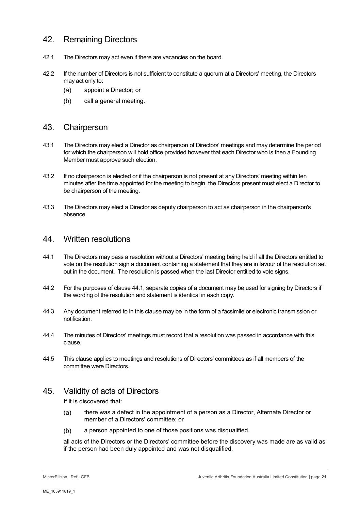## 42. Remaining Directors

- 42.1 The Directors may act even if there are vacancies on the board.
- 42.2 If the number of Directors is not sufficient to constitute a quorum at a Directors' meeting, the Directors may act only to:
	- appoint a Director; or  $(a)$
	- $(b)$ call a general meeting.

#### 43. Chairperson

- 43.1 The Directors may elect a Director as chairperson of Directors' meetings and may determine the period for which the chairperson will hold office provided however that each Director who is then a Founding Member must approve such election.
- 43.2 If no chairperson is elected or if the chairperson is not present at any Directors' meeting within ten minutes after the time appointed for the meeting to begin, the Directors present must elect a Director to be chairperson of the meeting.
- 43.3 The Directors may elect a Director as deputy chairperson to act as chairperson in the chairperson's absence.

#### <span id="page-20-1"></span>44. Written resolutions

- <span id="page-20-0"></span>44.1 The Directors may pass a resolution without a Directors' meeting being held if all the Directors entitled to vote on the resolution sign a document containing a statement that they are in favour of the resolution set out in the document. The resolution is passed when the last Director entitled to vote signs.
- 44.2 For the purposes of clause [44.1,](#page-20-0) separate copies of a document may be used for signing by Directors if the wording of the resolution and statement is identical in each copy.
- 44.3 Any document referred to in this clause may be in the form of a facsimile or electronic transmission or notification.
- 44.4 The minutes of Directors' meetings must record that a resolution was passed in accordance with this clause.
- 44.5 This clause applies to meetings and resolutions of Directors' committees as if all members of the committee were Directors.

## 45. Validity of acts of Directors

If it is discovered that:

- $(a)$ there was a defect in the appointment of a person as a Director, Alternate Director or member of a Directors' committee; or
- $(b)$ a person appointed to one of those positions was disqualified,

all acts of the Directors or the Directors' committee before the discovery was made are as valid as if the person had been duly appointed and was not disqualified.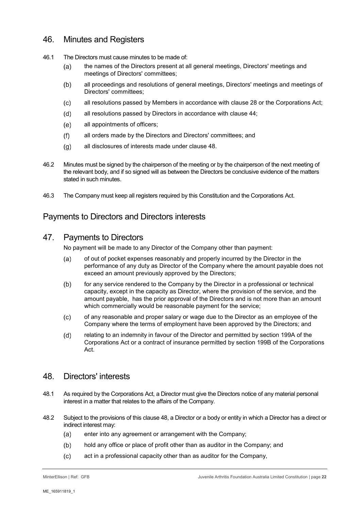## 46. Minutes and Registers

- 46.1 The Directors must cause minutes to be made of:
	- the names of the Directors present at all general meetings, Directors' meetings and  $(a)$ meetings of Directors' committees;
	- all proceedings and resolutions of general meetings, Directors' meetings and meetings of  $(b)$ Directors' committees;
	- all resolutions passed by Members in accordance with clause [28](#page-16-3) or the Corporations Act;  $(c)$
	- $(d)$ all resolutions passed by Directors in accordance with clause [44;](#page-20-1)
	- $(e)$ all appointments of officers;
	- $(f)$ all orders made by the Directors and Directors' committees; and
	- all disclosures of interests made under clause [48.](#page-21-1)  $(q)$
- 46.2 Minutes must be signed by the chairperson of the meeting or by the chairperson of the next meeting of the relevant body, and if so signed will as between the Directors be conclusive evidence of the matters stated in such minutes.
- 46.3 The Company must keep all registers required by this Constitution and the Corporations Act.

## Payments to Directors and Directors interests

## <span id="page-21-0"></span>47. Payments to Directors

No payment will be made to any Director of the Company other than payment:

- of out of pocket expenses reasonably and properly incurred by the Director in the  $(a)$ performance of any duty as Director of the Company where the amount payable does not exceed an amount previously approved by the Directors;
- $(b)$ for any service rendered to the Company by the Director in a professional or technical capacity, except in the capacity as Director, where the provision of the service, and the amount payable, has the prior approval of the Directors and is not more than an amount which commercially would be reasonable payment for the service;
- $(c)$ of any reasonable and proper salary or wage due to the Director as an employee of the Company where the terms of employment have been approved by the Directors; and
- $(d)$ relating to an indemnity in favour of the Director and permitted by section 199A of the Corporations Act or a contract of insurance permitted by section 199B of the Corporations Act.

## <span id="page-21-1"></span>48. Directors' interests

- 48.1 As required by the Corporations Act, a Director must give the Directors notice of any material personal interest in a matter that relates to the affairs of the Company.
- 48.2 Subject to the provisions of this clause [48,](#page-21-1) a Director or a body or entity in which a Director has a direct or indirect interest may:
	- $(a)$ enter into any agreement or arrangement with the Company;
	- $(b)$ hold any office or place of profit other than as auditor in the Company; and
	- $(c)$ act in a professional capacity other than as auditor for the Company,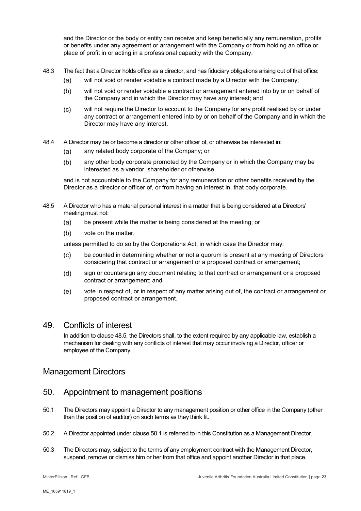and the Director or the body or entity can receive and keep beneficially any remuneration, profits or benefits under any agreement or arrangement with the Company or from holding an office or place of profit in or acting in a professional capacity with the Company.

- 48.3 The fact that a Director holds office as a director, and has fiduciary obligations arising out of that office:
	- will not void or render voidable a contract made by a Director with the Company;  $(a)$
	- $(b)$ will not void or render voidable a contract or arrangement entered into by or on behalf of the Company and in which the Director may have any interest; and
	- will not require the Director to account to the Company for any profit realised by or under  $(c)$ any contract or arrangement entered into by or on behalf of the Company and in which the Director may have any interest.
- 48.4 A Director may be or become a director or other officer of, or otherwise be interested in:
	- any related body corporate of the Company; or  $(a)$
	- $(b)$ any other body corporate promoted by the Company or in which the Company may be interested as a vendor, shareholder or otherwise,

and is not accountable to the Company for any remuneration or other benefits received by the Director as a director or officer of, or from having an interest in, that body corporate.

- <span id="page-22-1"></span>48.5 A Director who has a material personal interest in a matter that is being considered at a Directors' meeting must not:
	- be present while the matter is being considered at the meeting; or  $(a)$
	- $(b)$ vote on the matter,

unless permitted to do so by the Corporations Act, in which case the Director may:

- $(c)$ be counted in determining whether or not a quorum is present at any meeting of Directors considering that contract or arrangement or a proposed contract or arrangement;
- $(d)$ sign or countersign any document relating to that contract or arrangement or a proposed contract or arrangement; and
- $(e)$ vote in respect of, or in respect of any matter arising out of, the contract or arrangement or proposed contract or arrangement.

#### 49. Conflicts of interest

In addition to clause [48.5,](#page-22-1) the Directors shall, to the extent required by any applicable law, establish a mechanism for dealing with any conflicts of interest that may occur involving a Director, officer or employee of the Company.

#### Management Directors

#### 50. Appointment to management positions

- <span id="page-22-2"></span>50.1 The Directors may appoint a Director to any management position or other office in the Company (other than the position of auditor) on such terms as they think fit.
- <span id="page-22-0"></span>50.2 A Director appointed under claus[e 50.1](#page-22-2) is referred to in this Constitution as a Management Director.
- 50.3 The Directors may, subject to the terms of any employment contract with the Management Director, suspend, remove or dismiss him or her from that office and appoint another Director in that place.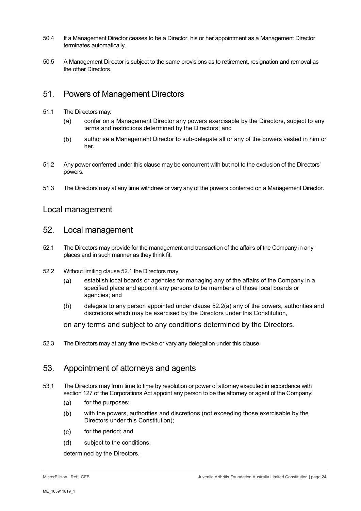- 50.4 If a Management Director ceases to be a Director, his or her appointment as a Management Director terminates automatically.
- 50.5 A Management Director is subject to the same provisions as to retirement, resignation and removal as the other Directors.

## 51. Powers of Management Directors

- 51.1 The Directors may:
	- $(a)$ confer on a Management Director any powers exercisable by the Directors, subject to any terms and restrictions determined by the Directors; and
	- authorise a Management Director to sub-delegate all or any of the powers vested in him or  $(b)$ her.
- 51.2 Any power conferred under this clause may be concurrent with but not to the exclusion of the Directors' powers.
- 51.3 The Directors may at any time withdraw or vary any of the powers conferred on a Management Director.

#### Local management

#### 52. Local management

- <span id="page-23-0"></span>52.1 The Directors may provide for the management and transaction of the affairs of the Company in any places and in such manner as they think fit.
- <span id="page-23-2"></span><span id="page-23-1"></span>52.2 Without limiting clause [52.1](#page-23-0) the Directors may:
	- establish local boards or agencies for managing any of the affairs of the Company in a  $(a)$ specified place and appoint any persons to be members of those local boards or agencies; and
	- delegate to any person appointed under clause [52.2](#page-23-1)[\(a\)](#page-23-2) any of the powers, authorities and  $(b)$ discretions which may be exercised by the Directors under this Constitution,
	- on any terms and subject to any conditions determined by the Directors.
- 52.3 The Directors may at any time revoke or vary any delegation under this clause.

## 53. Appointment of attorneys and agents

- 53.1 The Directors may from time to time by resolution or power of attorney executed in accordance with section 127 of the Corporations Act appoint any person to be the attorney or agent of the Company:
	- $(a)$ for the purposes;
	- $(b)$ with the powers, authorities and discretions (not exceeding those exercisable by the Directors under this Constitution);
	- $(c)$ for the period; and
	- $(d)$ subject to the conditions,

determined by the Directors.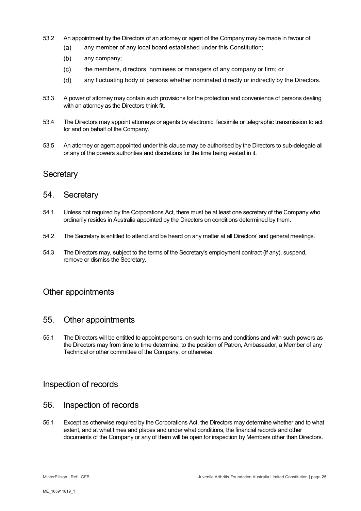- 53.2 An appointment by the Directors of an attorney or agent of the Company may be made in favour of:
	- any member of any local board established under this Constitution;  $(a)$
	- any company;  $(b)$
	- $(c)$ the members, directors, nominees or managers of any company or firm; or
	- $(d)$ any fluctuating body of persons whether nominated directly or indirectly by the Directors.
- 53.3 A power of attorney may contain such provisions for the protection and convenience of persons dealing with an attorney as the Directors think fit.
- 53.4 The Directors may appoint attorneys or agents by electronic, facsimile or telegraphic transmission to act for and on behalf of the Company.
- 53.5 An attorney or agent appointed under this clause may be authorised by the Directors to sub-delegate all or any of the powers authorities and discretions for the time being vested in it.

## **Secretary**

#### 54. Secretary

- 54.1 Unless not required by the Corporations Act, there must be at least one secretary of the Company who ordinarily resides in Australia appointed by the Directors on conditions determined by them.
- 54.2 The Secretary is entitled to attend and be heard on any matter at all Directors' and general meetings.
- 54.3 The Directors may, subject to the terms of the Secretary's employment contract (if any), suspend, remove or dismiss the Secretary.

## Other appointments

#### 55. Other appointments

55.1 The Directors will be entitled to appoint persons, on such terms and conditions and with such powers as the Directors may from time to time determine, to the position of Patron, Ambassador, a Member of any Technical or other committee of the Company, or otherwise.

#### Inspection of records

- 56. Inspection of records
- 56.1 Except as otherwise required by the Corporations Act, the Directors may determine whether and to what extent, and at what times and places and under what conditions, the financial records and other documents of the Company or any of them will be open for inspection by Members other than Directors.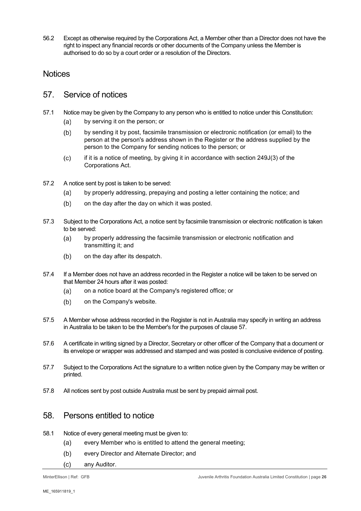56.2 Except as otherwise required by the Corporations Act, a Member other than a Director does not have the right to inspect any financial records or other documents of the Company unless the Member is authorised to do so by a court order or a resolution of the Directors.

#### **Notices**

#### <span id="page-25-1"></span>57. Service of notices

- 57.1 Notice may be given by the Company to any person who is entitled to notice under this Constitution:
	- by serving it on the person; or  $(a)$
	- $(b)$ by sending it by post, facsimile transmission or electronic notification (or email) to the person at the person's address shown in the Register or the address supplied by the person to the Company for sending notices to the person; or
	- $(c)$ if it is a notice of meeting, by giving it in accordance with section 249J(3) of the Corporations Act.
- 57.2 A notice sent by post is taken to be served:
	- $(a)$ by properly addressing, prepaying and posting a letter containing the notice; and
	- $(b)$ on the day after the day on which it was posted.
- 57.3 Subject to the Corporations Act, a notice sent by facsimile transmission or electronic notification is taken to be served:
	- $(a)$ by properly addressing the facsimile transmission or electronic notification and transmitting it; and
	- $(b)$ on the day after its despatch.
- 57.4 If a Member does not have an address recorded in the Register a notice will be taken to be served on that Member 24 hours after it was posted:
	- $(a)$ on a notice board at the Company's registered office; or
	- $(b)$ on the Company's website.
- 57.5 A Member whose address recorded in the Register is not in Australia may specify in writing an address in Australia to be taken to be the Member's for the purposes of clause [57.](#page-25-1)
- 57.6 A certificate in writing signed by a Director, Secretary or other officer of the Company that a document or its envelope or wrapper was addressed and stamped and was posted is conclusive evidence of posting.
- 57.7 Subject to the Corporations Act the signature to a written notice given by the Company may be written or printed.
- 57.8 All notices sent by post outside Australia must be sent by prepaid airmail post.

#### 58. Persons entitled to notice

- <span id="page-25-0"></span>58.1 Notice of every general meeting must be given to:
	- $(a)$ every Member who is entitled to attend the general meeting;
	- every Director and Alternate Director; and  $(b)$
	- any Auditor. $(c)$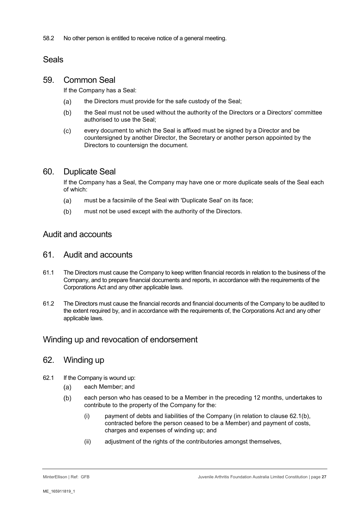58.2 No other person is entitled to receive notice of a general meeting.

## Seals

## <span id="page-26-2"></span>59. Common Seal

If the Company has a Seal:

- $(a)$ the Directors must provide for the safe custody of the Seal;
- $(b)$ the Seal must not be used without the authority of the Directors or a Directors' committee authorised to use the Seal;
- $(c)$ every document to which the Seal is affixed must be signed by a Director and be countersigned by another Director, the Secretary or another person appointed by the Directors to countersign the document.

## <span id="page-26-3"></span>60. Duplicate Seal

If the Company has a Seal, the Company may have one or more duplicate seals of the Seal each of which:

- must be a facsimile of the Seal with 'Duplicate Seal' on its face;  $(a)$
- $(b)$ must not be used except with the authority of the Directors.

## Audit and accounts

#### 61. Audit and accounts

- 61.1 The Directors must cause the Company to keep written financial records in relation to the business of the Company, and to prepare financial documents and reports, in accordance with the requirements of the Corporations Act and any other applicable laws.
- 61.2 The Directors must cause the financial records and financial documents of the Company to be audited to the extent required by, and in accordance with the requirements of, the Corporations Act and any other applicable laws.

## Winding up and revocation of endorsement

## 62. Winding up

- <span id="page-26-1"></span><span id="page-26-0"></span>62.1 If the Company is wound up:
	- $(a)$ each Member; and
	- $(b)$ each person who has ceased to be a Member in the preceding 12 months, undertakes to contribute to the property of the Company for the:
		- (i) payment of debts and liabilities of the Company (in relation to clause [62.1](#page-26-0)[\(b\),](#page-26-1) contracted before the person ceased to be a Member) and payment of costs, charges and expenses of winding up; and
		- (ii) adjustment of the rights of the contributories amongst themselves,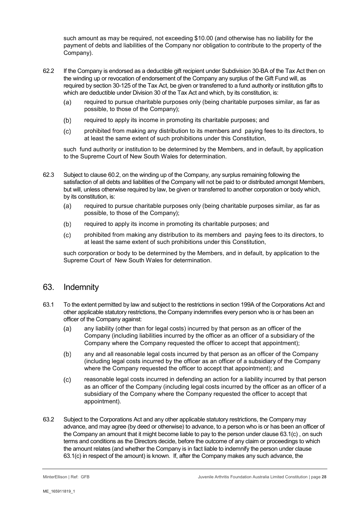such amount as may be required, not exceeding \$10.00 (and otherwise has no liability for the payment of debts and liabilities of the Company nor obligation to contribute to the property of the Company).

- 62.2 If the Company is endorsed as a deductible gift recipient under Subdivision 30-BA of the Tax Act then on the winding up or revocation of endorsement of the Company any surplus of the Gift Fund will, as required by section 30-125 of the Tax Act, be given or transferred to a fund authority or institution gifts to which are deductible under Division 30 of the Tax Act and which, by its constitution, is:
	- $(a)$ required to pursue charitable purposes only (being charitable purposes similar, as far as possible, to those of the Company);
	- $(b)$ required to apply its income in promoting its charitable purposes; and
	- $(c)$ prohibited from making any distribution to its members and paying fees to its directors, to at least the same extent of such prohibitions under this Constitution,

such fund authority or institution to be determined by the Members, and in default, by application to the Supreme Court of New South Wales for determination.

- 62.3 Subject to clause 60.2, on the winding up of the Company, any surplus remaining following the satisfaction of all debts and liabilities of the Company will not be paid to or distributed amongst Members, but will, unless otherwise required by law, be given or transferred to another corporation or body which, by its constitution, is:
	- $(a)$ required to pursue charitable purposes only (being charitable purposes similar, as far as possible, to those of the Company);
	- $(b)$ required to apply its income in promoting its charitable purposes; and
	- $(c)$ prohibited from making any distribution to its members and paying fees to its directors, to at least the same extent of such prohibitions under this Constitution,

such corporation or body to be determined by the Members, and in default, by application to the Supreme Court of New South Wales for determination.

## <span id="page-27-1"></span>63. Indemnity

- <span id="page-27-2"></span>63.1 To the extent permitted by law and subject to the restrictions in section 199A of the Corporations Act and other applicable statutory restrictions, the Company indemnifies every person who is or has been an officer of the Company against:
	- $(a)$ any liability (other than for legal costs) incurred by that person as an officer of the Company (including liabilities incurred by the officer as an officer of a subsidiary of the Company where the Company requested the officer to accept that appointment);
	- any and all reasonable legal costs incurred by that person as an officer of the Company  $(b)$ (including legal costs incurred by the officer as an officer of a subsidiary of the Company where the Company requested the officer to accept that appointment); and
	- reasonable legal costs incurred in defending an action for a liability incurred by that person  $(c)$ as an officer of the Company (including legal costs incurred by the officer as an officer of a subsidiary of the Company where the Company requested the officer to accept that appointment).
- <span id="page-27-0"></span>63.2 Subject to the Corporations Act and any other applicable statutory restrictions, the Company may advance, and may agree (by deed or otherwise) to advance, to a person who is or has been an officer of the Company an amount that it might become liable to pay to the person under clause [63.1\(c\)](#page-27-0) , on such terms and conditions as the Directors decide, before the outcome of any claim or proceedings to which the amount relates (and whether the Company is in fact liable to indemnify the person under clause [63.1\(c\)](#page-27-0) in respect of the amount) is known. If, after the Company makes any such advance, the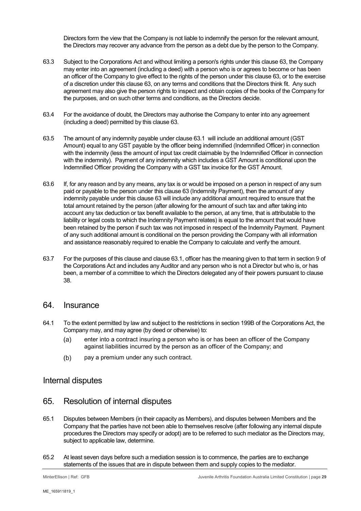Directors form the view that the Company is not liable to indemnify the person for the relevant amount, the Directors may recover any advance from the person as a debt due by the person to the Company.

- 63.3 Subject to the Corporations Act and without limiting a person's rights under this claus[e 63,](#page-27-1) the Company may enter into an agreement (including a deed) with a person who is or agrees to become or has been an officer of the Company to give effect to the rights of the person under this clause [63,](#page-27-1) or to the exercise of a discretion under this clause [63,](#page-27-1) on any terms and conditions that the Directors think fit. Any such agreement may also give the person rights to inspect and obtain copies of the books of the Company for the purposes, and on such other terms and conditions, as the Directors decide.
- 63.4 For the avoidance of doubt, the Directors may authorise the Company to enter into any agreement (including a deed) permitted by this clause [63.](#page-27-1)
- 63.5 The amount of any indemnity payable under clause [63.1](#page-27-2) will include an additional amount (GST Amount) equal to any GST payable by the officer being indemnified (Indemnified Officer) in connection with the indemnity (less the amount of input tax credit claimable by the Indemnified Officer in connection with the indemnity). Payment of any indemnity which includes a GST Amount is conditional upon the Indemnified Officer providing the Company with a GST tax invoice for the GST Amount.
- 63.6 If, for any reason and by any means, any tax is or would be imposed on a person in respect of any sum paid or payable to the person under this clause [63](#page-27-1) (Indemnity Payment), then the amount of any indemnity payable under this clause [63](#page-27-1) will include any additional amount required to ensure that the total amount retained by the person (after allowing for the amount of such tax and after taking into account any tax deduction or tax benefit available to the person, at any time, that is attributable to the liability or legal costs to which the Indemnity Payment relates) is equal to the amount that would have been retained by the person if such tax was not imposed in respect of the Indemnity Payment. Payment of any such additional amount is conditional on the person providing the Company with all information and assistance reasonably required to enable the Company to calculate and verify the amount.
- 63.7 For the purposes of this clause and claus[e 63.1,](#page-27-2) officer has the meaning given to that term in section 9 of the Corporations Act and includes any Auditor and any person who is not a Director but who is, or has been, a member of a committee to which the Directors delegated any of their powers pursuant to clause [38.](#page-18-1)

#### 64. Insurance

- 64.1 To the extent permitted by law and subject to the restrictions in section 199B of the Corporations Act, the Company may, and may agree (by deed or otherwise) to:
	- enter into a contract insuring a person who is or has been an officer of the Company  $(a)$ against liabilities incurred by the person as an officer of the Company; and
	- $(b)$ pay a premium under any such contract.

#### Internal disputes

#### 65. Resolution of internal disputes

- 65.1 Disputes between Members (in their capacity as Members), and disputes between Members and the Company that the parties have not been able to themselves resolve (after following any internal dispute procedures the Directors may specify or adopt) are to be referred to such mediator as the Directors may, subject to applicable law, determine.
- 65.2 At least seven days before such a mediation session is to commence, the parties are to exchange statements of the issues that are in dispute between them and supply copies to the mediator.